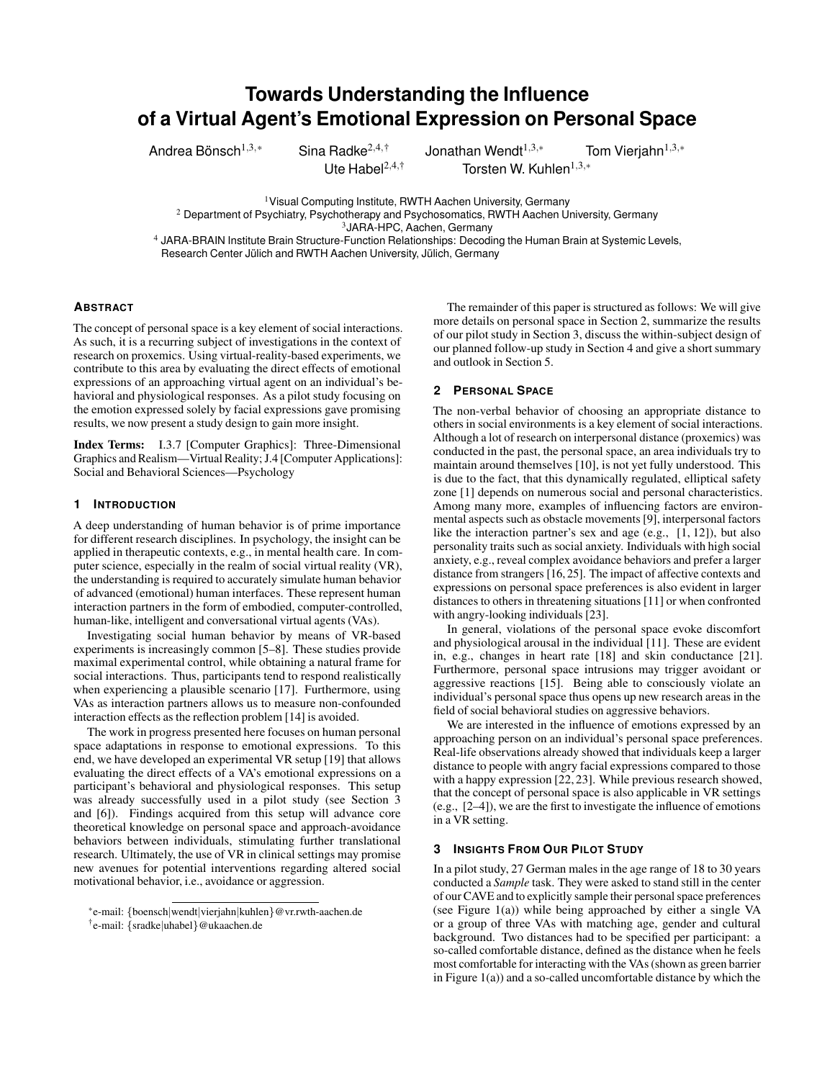# **Towards Understanding the Influence of a Virtual Agent's Emotional Expression on Personal Space**

Andrea Bönsch $^{1,3,*}$ 

Sina Radke<sup>2,4,†</sup> Jonathan Wendt<sup>1,3,∗</sup> Tom Vierjahn<sup>1,3,</sup>\* Ute Habel<sup>2,4,†</sup> Torsten W. Kuhlen<sup>1,3,</sup>\*

<sup>1</sup> Visual Computing Institute, RWTH Aachen University, Germany

<sup>2</sup> Department of Psychiatry, Psychotherapy and Psychosomatics, RWTH Aachen University, Germany

<sup>3</sup>JARA-HPC, Aachen, Germany

<sup>4</sup> JARA-BRAIN Institute Brain Structure-Function Relationships: Decoding the Human Brain at Systemic Levels, Research Center Jülich and RWTH Aachen University, Jülich, Germany

## **ABSTRACT**

The concept of personal space is a key element of social interactions. As such, it is a recurring subject of investigations in the context of research on proxemics. Using virtual-reality-based experiments, we contribute to this area by evaluating the direct effects of emotional expressions of an approaching virtual agent on an individual's behavioral and physiological responses. As a pilot study focusing on the emotion expressed solely by facial expressions gave promising results, we now present a study design to gain more insight.

Index Terms: I.3.7 [Computer Graphics]: Three-Dimensional Graphics and Realism—Virtual Reality; J.4 [Computer Applications]: Social and Behavioral Sciences—Psychology

# **1 INTRODUCTION**

A deep understanding of human behavior is of prime importance for different research disciplines. In psychology, the insight can be applied in therapeutic contexts, e.g., in mental health care. In computer science, especially in the realm of social virtual reality (VR), the understanding is required to accurately simulate human behavior of advanced (emotional) human interfaces. These represent human interaction partners in the form of embodied, computer-controlled, human-like, intelligent and conversational virtual agents (VAs).

Investigating social human behavior by means of VR-based experiments is increasingly common [\[5](#page-2-0)[–8\]](#page-2-1). These studies provide maximal experimental control, while obtaining a natural frame for social interactions. Thus, participants tend to respond realistically when experiencing a plausible scenario [\[17\]](#page-2-2). Furthermore, using VAs as interaction partners allows us to measure non-confounded interaction effects as the reflection problem [\[14\]](#page-2-3) is avoided.

The work in progress presented here focuses on human personal space adaptations in response to emotional expressions. To this end, we have developed an experimental VR setup [\[19\]](#page-2-4) that allows evaluating the direct effects of a VA's emotional expressions on a participant's behavioral and physiological responses. This setup was already successfully used in a pilot study (see Section [3](#page-0-0) and [\[6\]](#page-2-5)). Findings acquired from this setup will advance core theoretical knowledge on personal space and approach-avoidance behaviors between individuals, stimulating further translational research. Ultimately, the use of VR in clinical settings may promise new avenues for potential interventions regarding altered social motivational behavior, i.e., avoidance or aggression.

† e-mail: {sradke|uhabel}@ukaachen.de

The remainder of this paper is structured as follows: We will give more details on personal space in Section [2,](#page-0-1) summarize the results of our pilot study in Section [3,](#page-0-0) discuss the within-subject design of our planned follow-up study in Section [4](#page-1-0) and give a short summary and outlook in Section [5.](#page-2-6)

# <span id="page-0-1"></span>**2 PERSONAL SPACE**

The non-verbal behavior of choosing an appropriate distance to others in social environments is a key element of social interactions. Although a lot of research on interpersonal distance (proxemics) was conducted in the past, the personal space, an area individuals try to maintain around themselves [\[10\]](#page-2-7), is not yet fully understood. This is due to the fact, that this dynamically regulated, elliptical safety zone [\[1\]](#page-2-8) depends on numerous social and personal characteristics. Among many more, examples of influencing factors are environmental aspects such as obstacle movements [\[9\]](#page-2-9), interpersonal factors like the interaction partner's sex and age (e.g., [\[1,](#page-2-8) [12\]](#page-2-10)), but also personality traits such as social anxiety. Individuals with high social anxiety, e.g., reveal complex avoidance behaviors and prefer a larger distance from strangers [\[16,](#page-2-11) [25\]](#page-2-12). The impact of affective contexts and expressions on personal space preferences is also evident in larger distances to others in threatening situations [\[11\]](#page-2-13) or when confronted with angry-looking individuals [\[23\]](#page-2-14).

In general, violations of the personal space evoke discomfort and physiological arousal in the individual [\[11\]](#page-2-13). These are evident in, e.g., changes in heart rate [\[18\]](#page-2-15) and skin conductance [\[21\]](#page-2-16). Furthermore, personal space intrusions may trigger avoidant or aggressive reactions [\[15\]](#page-2-17). Being able to consciously violate an individual's personal space thus opens up new research areas in the field of social behavioral studies on aggressive behaviors.

We are interested in the influence of emotions expressed by an approaching person on an individual's personal space preferences. Real-life observations already showed that individuals keep a larger distance to people with angry facial expressions compared to those with a happy expression [\[22,](#page-2-18) [23\]](#page-2-14). While previous research showed, that the concept of personal space is also applicable in VR settings (e.g., [\[2](#page-2-19)[–4\]](#page-2-20)), we are the first to investigate the influence of emotions in a VR setting.

## <span id="page-0-0"></span>**3 INSIGHTS FROM OUR PILOT STUDY**

In a pilot study, 27 German males in the age range of 18 to 30 years conducted a *Sample* task. They were asked to stand still in the center of our CAVE and to explicitly sample their personal space preferences (see Figure [1\(](#page-1-1)a)) while being approached by either a single VA or a group of three VAs with matching age, gender and cultural background. Two distances had to be specified per participant: a so-called comfortable distance, defined as the distance when he feels most comfortable for interacting with the VAs (shown as green barrier in Figure  $1(a)$ ) and a so-called uncomfortable distance by which the

<sup>\*</sup>e-mail: {boensch|wendt|vierjahn|kuhlen}@vr.rwth-aachen.de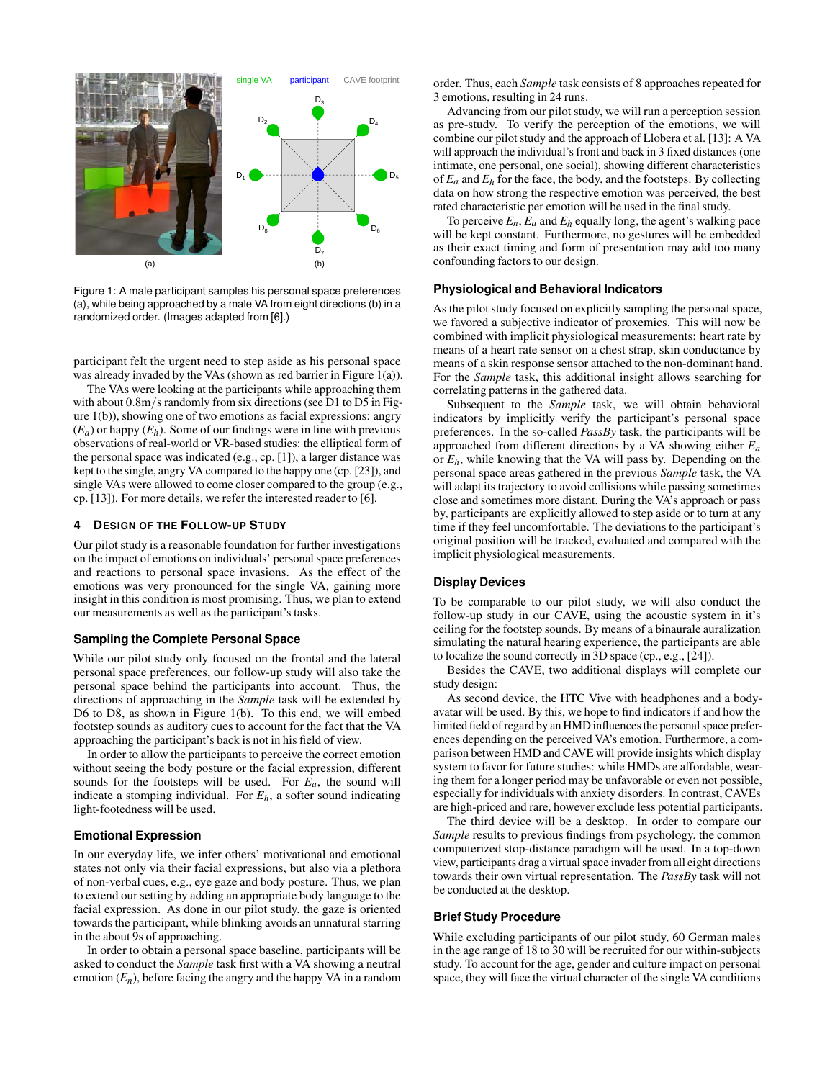

<span id="page-1-1"></span>Figure 1: A male participant samples his personal space preferences (a), while being approached by a male VA from eight directions (b) in a randomized order. (Images adapted from [\[6\]](#page-2-5).)

participant felt the urgent need to step aside as his personal space was already invaded by the VAs (shown as red barrier in Figure [1\(](#page-1-1)a)).

The VAs were looking at the participants while approaching them with about  $0.8$ m/s randomly from six directions (see D1 to D5 in Figure [1\(](#page-1-1)b)), showing one of two emotions as facial expressions: angry  $(E_a)$  or happy  $(E_h)$ . Some of our findings were in line with previous observations of real-world or VR-based studies: the elliptical form of the personal space was indicated (e.g., cp. [\[1\]](#page-2-8)), a larger distance was kept to the single, angry VA compared to the happy one (cp. [\[23\]](#page-2-14)), and single VAs were allowed to come closer compared to the group (e.g., cp. [\[13\]](#page-2-21)). For more details, we refer the interested reader to [\[6\]](#page-2-5).

# <span id="page-1-0"></span>**4 DESIGN OF THE FOLLOW-UP STUDY**

Our pilot study is a reasonable foundation for further investigations on the impact of emotions on individuals' personal space preferences and reactions to personal space invasions. As the effect of the emotions was very pronounced for the single VA, gaining more insight in this condition is most promising. Thus, we plan to extend our measurements as well as the participant's tasks.

#### **Sampling the Complete Personal Space**

While our pilot study only focused on the frontal and the lateral personal space preferences, our follow-up study will also take the personal space behind the participants into account. Thus, the directions of approaching in the *Sample* task will be extended by D6 to D8, as shown in Figure [1\(](#page-1-1)b). To this end, we will embed footstep sounds as auditory cues to account for the fact that the VA approaching the participant's back is not in his field of view.

In order to allow the participants to perceive the correct emotion without seeing the body posture or the facial expression, different sounds for the footsteps will be used. For *Ea*, the sound will indicate a stomping individual. For  $E_h$ , a softer sound indicating light-footedness will be used.

#### **Emotional Expression**

In our everyday life, we infer others' motivational and emotional states not only via their facial expressions, but also via a plethora of non-verbal cues, e.g., eye gaze and body posture. Thus, we plan to extend our setting by adding an appropriate body language to the facial expression. As done in our pilot study, the gaze is oriented towards the participant, while blinking avoids an unnatural starring in the about 9s of approaching.

In order to obtain a personal space baseline, participants will be asked to conduct the *Sample* task first with a VA showing a neutral emotion  $(E_n)$ , before facing the angry and the happy VA in a random order. Thus, each *Sample* task consists of 8 approaches repeated for 3 emotions, resulting in 24 runs.

Advancing from our pilot study, we will run a perception session as pre-study. To verify the perception of the emotions, we will combine our pilot study and the approach of Llobera et al. [\[13\]](#page-2-21): A VA will approach the individual's front and back in 3 fixed distances (one intimate, one personal, one social), showing different characteristics of  $E_a$  and  $E_h$  for the face, the body, and the footsteps. By collecting data on how strong the respective emotion was perceived, the best rated characteristic per emotion will be used in the final study.

To perceive  $E_n$ ,  $E_a$  and  $E_h$  equally long, the agent's walking pace will be kept constant. Furthermore, no gestures will be embedded as their exact timing and form of presentation may add too many confounding factors to our design.

#### **Physiological and Behavioral Indicators**

As the pilot study focused on explicitly sampling the personal space, we favored a subjective indicator of proxemics. This will now be combined with implicit physiological measurements: heart rate by means of a heart rate sensor on a chest strap, skin conductance by means of a skin response sensor attached to the non-dominant hand. For the *Sample* task, this additional insight allows searching for correlating patterns in the gathered data.

Subsequent to the *Sample* task, we will obtain behavioral indicators by implicitly verify the participant's personal space preferences. In the so-called *PassBy* task, the participants will be approached from different directions by a VA showing either *Ea* or *Eh*, while knowing that the VA will pass by. Depending on the personal space areas gathered in the previous *Sample* task, the VA will adapt its trajectory to avoid collisions while passing sometimes close and sometimes more distant. During the VA's approach or pass by, participants are explicitly allowed to step aside or to turn at any time if they feel uncomfortable. The deviations to the participant's original position will be tracked, evaluated and compared with the implicit physiological measurements.

#### **Display Devices**

To be comparable to our pilot study, we will also conduct the follow-up study in our CAVE, using the acoustic system in it's ceiling for the footstep sounds. By means of a binaurale auralization simulating the natural hearing experience, the participants are able to localize the sound correctly in 3D space (cp., e.g., [\[24\]](#page-2-22)).

Besides the CAVE, two additional displays will complete our study design:

As second device, the HTC Vive with headphones and a bodyavatar will be used. By this, we hope to find indicators if and how the limited field of regard by an HMD influences the personal space preferences depending on the perceived VA's emotion. Furthermore, a comparison between HMD and CAVE will provide insights which display system to favor for future studies: while HMDs are affordable, wearing them for a longer period may be unfavorable or even not possible, especially for individuals with anxiety disorders. In contrast, CAVEs are high-priced and rare, however exclude less potential participants.

The third device will be a desktop. In order to compare our *Sample* results to previous findings from psychology, the common computerized stop-distance paradigm will be used. In a top-down view, participants drag a virtual space invader from all eight directions towards their own virtual representation. The *PassBy* task will not be conducted at the desktop.

#### **Brief Study Procedure**

While excluding participants of our pilot study, 60 German males in the age range of 18 to 30 will be recruited for our within-subjects study. To account for the age, gender and culture impact on personal space, they will face the virtual character of the single VA conditions